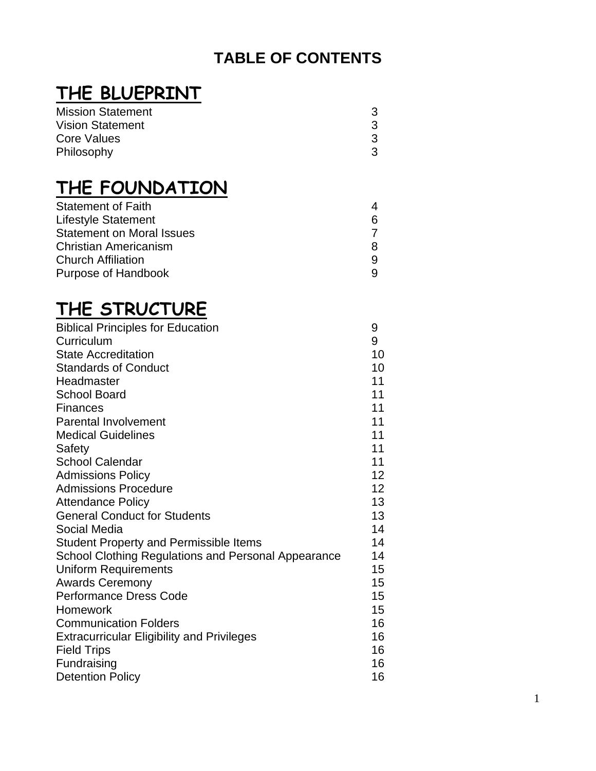# **TABLE OF CONTENTS**

# **THE BLUEPRINT**

| <b>Mission Statement</b> |   |
|--------------------------|---|
| <b>Vision Statement</b>  | 3 |
| Core Values              | 3 |
| Philosophy               | 3 |

# **THE FOUNDATION**

| <b>Statement of Faith</b>        |  |
|----------------------------------|--|
| <b>Lifestyle Statement</b>       |  |
| <b>Statement on Moral Issues</b> |  |
| <b>Christian Americanism</b>     |  |
| <b>Church Affiliation</b>        |  |
| Purpose of Handbook              |  |

# **THE STRUCTURE**

| <b>Biblical Principles for Education</b>                   | 9               |
|------------------------------------------------------------|-----------------|
| Curriculum                                                 | 9               |
| <b>State Accreditation</b>                                 | 10              |
| <b>Standards of Conduct</b>                                | 10              |
| Headmaster                                                 | 11              |
| <b>School Board</b>                                        | 11              |
| Finances                                                   | 11              |
| <b>Parental Involvement</b>                                | 11              |
| <b>Medical Guidelines</b>                                  | 11              |
| Safety                                                     | 11              |
| <b>School Calendar</b>                                     | 11              |
| <b>Admissions Policy</b>                                   | 12 <sup>2</sup> |
| <b>Admissions Procedure</b>                                | 12 <sub>2</sub> |
| <b>Attendance Policy</b>                                   | 13              |
| <b>General Conduct for Students</b>                        | 13              |
| Social Media                                               | 14              |
| <b>Student Property and Permissible Items</b>              | 14              |
| <b>School Clothing Regulations and Personal Appearance</b> | 14              |
| <b>Uniform Requirements</b>                                | 15              |
| <b>Awards Ceremony</b>                                     | 15              |
| <b>Performance Dress Code</b>                              | 15              |
| Homework                                                   | 15              |
| <b>Communication Folders</b>                               | 16              |
| <b>Extracurricular Eligibility and Privileges</b>          | 16              |
| <b>Field Trips</b>                                         | 16              |
| Fundraising                                                | 16              |
| <b>Detention Policy</b>                                    | 16              |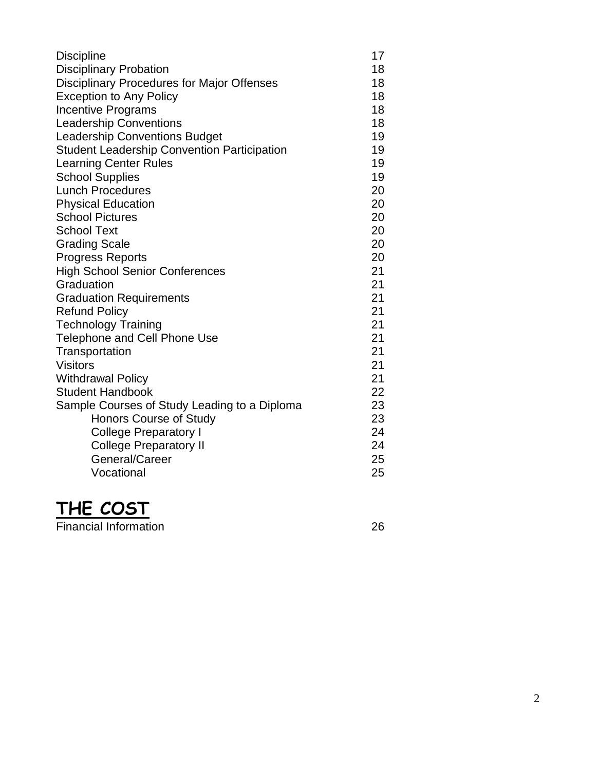| <b>Discipline</b>                                  | 17 |
|----------------------------------------------------|----|
| <b>Disciplinary Probation</b>                      | 18 |
| <b>Disciplinary Procedures for Major Offenses</b>  | 18 |
| <b>Exception to Any Policy</b>                     | 18 |
| <b>Incentive Programs</b>                          | 18 |
| <b>Leadership Conventions</b>                      | 18 |
| <b>Leadership Conventions Budget</b>               | 19 |
| <b>Student Leadership Convention Participation</b> | 19 |
| <b>Learning Center Rules</b>                       | 19 |
| <b>School Supplies</b>                             | 19 |
| <b>Lunch Procedures</b>                            | 20 |
| <b>Physical Education</b>                          | 20 |
| <b>School Pictures</b>                             | 20 |
| <b>School Text</b>                                 | 20 |
| <b>Grading Scale</b>                               | 20 |
| <b>Progress Reports</b>                            | 20 |
| <b>High School Senior Conferences</b>              | 21 |
| Graduation                                         | 21 |
| <b>Graduation Requirements</b>                     | 21 |
| <b>Refund Policy</b>                               | 21 |
| <b>Technology Training</b>                         | 21 |
| <b>Telephone and Cell Phone Use</b>                | 21 |
| Transportation                                     | 21 |
| <b>Visitors</b>                                    | 21 |
| <b>Withdrawal Policy</b>                           | 21 |
| <b>Student Handbook</b>                            | 22 |
| Sample Courses of Study Leading to a Diploma       | 23 |
| <b>Honors Course of Study</b>                      | 23 |
| <b>College Preparatory I</b>                       | 24 |
| <b>College Preparatory II</b>                      | 24 |
| General/Career                                     | 25 |
| Vocational                                         | 25 |



Financial Information 26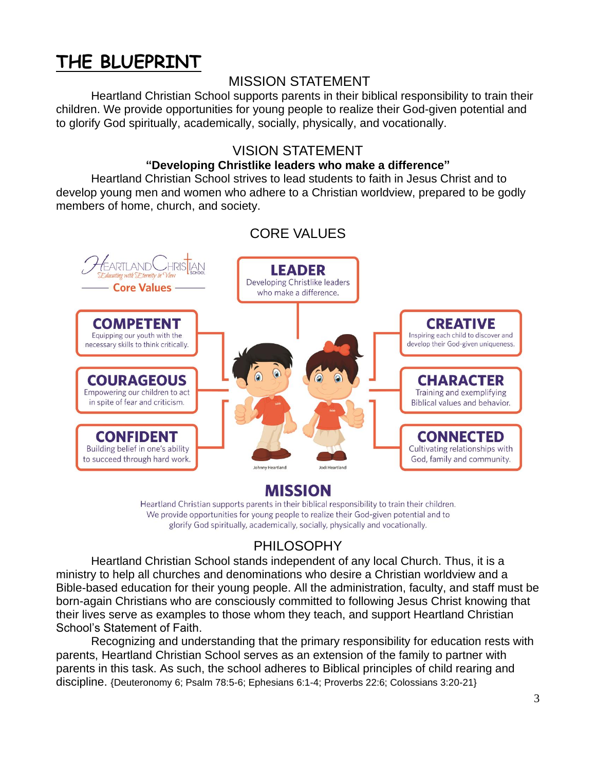# **THE BLUEPRINT**

## MISSION STATEMENT

Heartland Christian School supports parents in their biblical responsibility to train their children. We provide opportunities for young people to realize their God-given potential and to glorify God spiritually, academically, socially, physically, and vocationally.

## VISION STATEMENT

#### **"Developing Christlike leaders who make a difference"**

Heartland Christian School strives to lead students to faith in Jesus Christ and to develop young men and women who adhere to a Christian worldview, prepared to be godly members of home, church, and society.



## CORE VALUES

**MISSION** 

Heartland Christian supports parents in their biblical responsibility to train their children. We provide opportunities for young people to realize their God-given potential and to glorify God spiritually, academically, socially, physically and vocationally.

# PHILOSOPHY

Heartland Christian School stands independent of any local Church. Thus, it is a ministry to help all churches and denominations who desire a Christian worldview and a Bible-based education for their young people. All the administration, faculty, and staff must be born-again Christians who are consciously committed to following Jesus Christ knowing that their lives serve as examples to those whom they teach, and support Heartland Christian School's Statement of Faith.

Recognizing and understanding that the primary responsibility for education rests with parents, Heartland Christian School serves as an extension of the family to partner with parents in this task. As such, the school adheres to Biblical principles of child rearing and discipline. {Deuteronomy 6; Psalm 78:5-6; Ephesians 6:1-4; Proverbs 22:6; Colossians 3:20-21}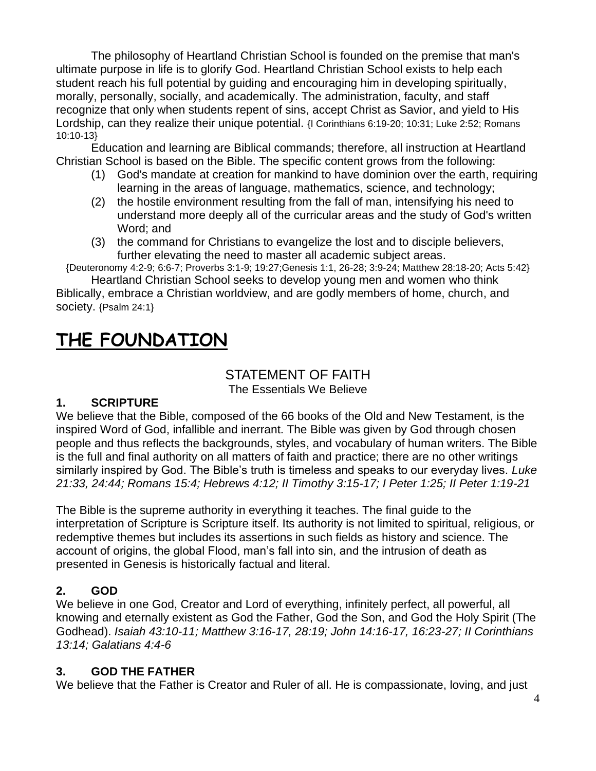The philosophy of Heartland Christian School is founded on the premise that man's ultimate purpose in life is to glorify God. Heartland Christian School exists to help each student reach his full potential by guiding and encouraging him in developing spiritually, morally, personally, socially, and academically. The administration, faculty, and staff recognize that only when students repent of sins, accept Christ as Savior, and yield to His Lordship, can they realize their unique potential. {I Corinthians 6:19-20; 10:31; Luke 2:52; Romans 10:10-13}

Education and learning are Biblical commands; therefore, all instruction at Heartland Christian School is based on the Bible. The specific content grows from the following:

- (1) God's mandate at creation for mankind to have dominion over the earth, requiring learning in the areas of language, mathematics, science, and technology;
- (2) the hostile environment resulting from the fall of man, intensifying his need to understand more deeply all of the curricular areas and the study of God's written Word; and
- (3) the command for Christians to evangelize the lost and to disciple believers, further elevating the need to master all academic subject areas.

{Deuteronomy 4:2-9; 6:6-7; Proverbs 3:1-9; 19:27;Genesis 1:1, 26-28; 3:9-24; Matthew 28:18-20; Acts 5:42} Heartland Christian School seeks to develop young men and women who think

Biblically, embrace a Christian worldview, and are godly members of home, church, and society. {Psalm 24:1}

# **THE FOUNDATION**

#### STATEMENT OF FAITH The Essentials We Believe

#### **1. SCRIPTURE**

We believe that the Bible, composed of the 66 books of the Old and New Testament, is the inspired Word of God, infallible and inerrant. The Bible was given by God through chosen people and thus reflects the backgrounds, styles, and vocabulary of human writers. The Bible is the full and final authority on all matters of faith and practice; there are no other writings similarly inspired by God. The Bible's truth is timeless and speaks to our everyday lives. *Luke 21:33, 24:44; Romans 15:4; Hebrews 4:12; II Timothy 3:15-17; I Peter 1:25; II Peter 1:19-21*

The Bible is the supreme authority in everything it teaches. The final guide to the interpretation of Scripture is Scripture itself. Its authority is not limited to spiritual, religious, or redemptive themes but includes its assertions in such fields as history and science. The account of origins, the global Flood, man's fall into sin, and the intrusion of death as presented in Genesis is historically factual and literal.

#### **2. GOD**

We believe in one God, Creator and Lord of everything, infinitely perfect, all powerful, all knowing and eternally existent as God the Father, God the Son, and God the Holy Spirit (The Godhead). *Isaiah 43:10-11; Matthew 3:16-17, 28:19; John 14:16-17, 16:23-27; II Corinthians 13:14; Galatians 4:4-6*

#### **3. GOD THE FATHER**

We believe that the Father is Creator and Ruler of all. He is compassionate, loving, and just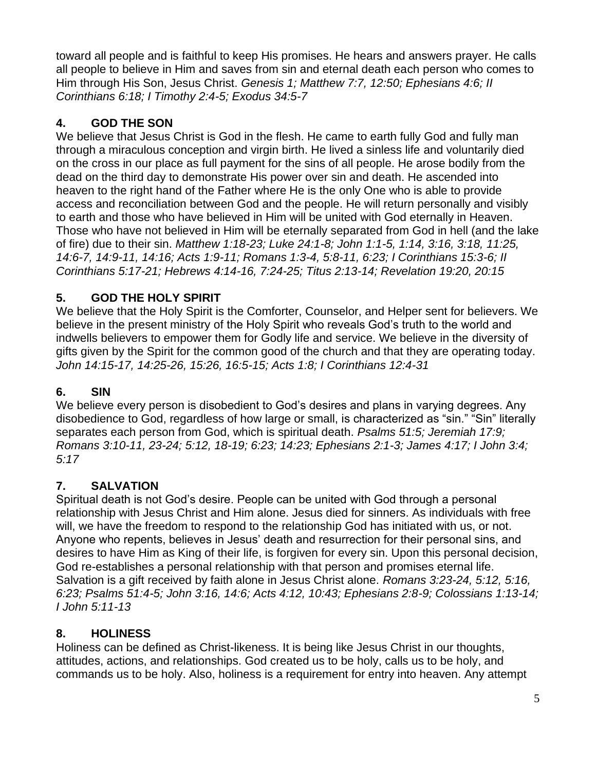toward all people and is faithful to keep His promises. He hears and answers prayer. He calls all people to believe in Him and saves from sin and eternal death each person who comes to Him through His Son, Jesus Christ. *Genesis 1; Matthew 7:7, 12:50; Ephesians 4:6; II Corinthians 6:18; I Timothy 2:4-5; Exodus 34:5-7*

## **4. GOD THE SON**

We believe that Jesus Christ is God in the flesh. He came to earth fully God and fully man through a miraculous conception and virgin birth. He lived a sinless life and voluntarily died on the cross in our place as full payment for the sins of all people. He arose bodily from the dead on the third day to demonstrate His power over sin and death. He ascended into heaven to the right hand of the Father where He is the only One who is able to provide access and reconciliation between God and the people. He will return personally and visibly to earth and those who have believed in Him will be united with God eternally in Heaven. Those who have not believed in Him will be eternally separated from God in hell (and the lake of fire) due to their sin. *Matthew 1:18-23; Luke 24:1-8; John 1:1-5, 1:14, 3:16, 3:18, 11:25, 14:6-7, 14:9-11, 14:16; Acts 1:9-11; Romans 1:3-4, 5:8-11, 6:23; I Corinthians 15:3-6; II Corinthians 5:17-21; Hebrews 4:14-16, 7:24-25; Titus 2:13-14; Revelation 19:20, 20:15*

## **5. GOD THE HOLY SPIRIT**

We believe that the Holy Spirit is the Comforter, Counselor, and Helper sent for believers. We believe in the present ministry of the Holy Spirit who reveals God's truth to the world and indwells believers to empower them for Godly life and service. We believe in the diversity of gifts given by the Spirit for the common good of the church and that they are operating today. *John 14:15-17, 14:25-26, 15:26, 16:5-15; Acts 1:8; I Corinthians 12:4-31*

#### **6. SIN**

We believe every person is disobedient to God's desires and plans in varying degrees. Any disobedience to God, regardless of how large or small, is characterized as "sin." "Sin" literally separates each person from God, which is spiritual death. *Psalms 51:5; Jeremiah 17:9; Romans 3:10-11, 23-24; 5:12, 18-19; 6:23; 14:23; Ephesians 2:1-3; James 4:17; I John 3:4; 5:17*

## **7. SALVATION**

Spiritual death is not God's desire. People can be united with God through a personal relationship with Jesus Christ and Him alone. Jesus died for sinners. As individuals with free will, we have the freedom to respond to the relationship God has initiated with us, or not. Anyone who repents, believes in Jesus' death and resurrection for their personal sins, and desires to have Him as King of their life, is forgiven for every sin. Upon this personal decision, God re-establishes a personal relationship with that person and promises eternal life. Salvation is a gift received by faith alone in Jesus Christ alone. *Romans 3:23-24, 5:12, 5:16, 6:23; Psalms 51:4-5; John 3:16, 14:6; Acts 4:12, 10:43; Ephesians 2:8-9; Colossians 1:13-14; I John 5:11-13*

#### **8. HOLINESS**

Holiness can be defined as Christ-likeness. It is being like Jesus Christ in our thoughts, attitudes, actions, and relationships. God created us to be holy, calls us to be holy, and commands us to be holy. Also, holiness is a requirement for entry into heaven. Any attempt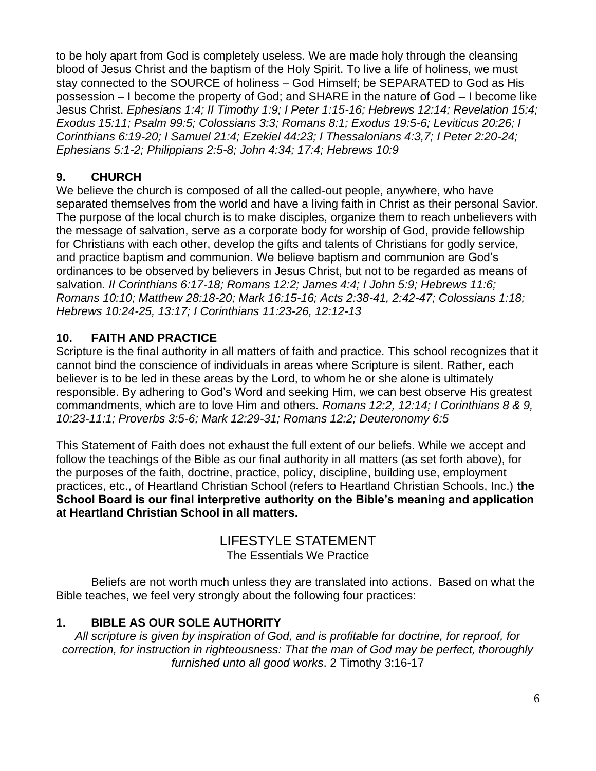to be holy apart from God is completely useless. We are made holy through the cleansing blood of Jesus Christ and the baptism of the Holy Spirit. To live a life of holiness, we must stay connected to the SOURCE of holiness – God Himself; be SEPARATED to God as His possession – I become the property of God; and SHARE in the nature of God – I become like Jesus Christ. *Ephesians 1:4; II Timothy 1:9; I Peter 1:15-16; Hebrews 12:14; Revelation 15:4; Exodus 15:11; Psalm 99:5; Colossians 3:3; Romans 8:1; Exodus 19:5-6; Leviticus 20:26; I Corinthians 6:19-20; I Samuel 21:4; Ezekiel 44:23; I Thessalonians 4:3,7; I Peter 2:20-24; Ephesians 5:1-2; Philippians 2:5-8; John 4:34; 17:4; Hebrews 10:9*

## **9. CHURCH**

We believe the church is composed of all the called-out people, anywhere, who have separated themselves from the world and have a living faith in Christ as their personal Savior. The purpose of the local church is to make disciples, organize them to reach unbelievers with the message of salvation, serve as a corporate body for worship of God, provide fellowship for Christians with each other, develop the gifts and talents of Christians for godly service, and practice baptism and communion. We believe baptism and communion are God's ordinances to be observed by believers in Jesus Christ, but not to be regarded as means of salvation. *II Corinthians 6:17-18; Romans 12:2; James 4:4; I John 5:9; Hebrews 11:6; Romans 10:10; Matthew 28:18-20; Mark 16:15-16; Acts 2:38-41, 2:42-47; Colossians 1:18; Hebrews 10:24-25, 13:17; I Corinthians 11:23-26, 12:12-13*

#### **10. FAITH AND PRACTICE**

Scripture is the final authority in all matters of faith and practice. This school recognizes that it cannot bind the conscience of individuals in areas where Scripture is silent. Rather, each believer is to be led in these areas by the Lord, to whom he or she alone is ultimately responsible. By adhering to God's Word and seeking Him, we can best observe His greatest commandments, which are to love Him and others. *Romans 12:2, 12:14; I Corinthians 8 & 9, 10:23-11:1; Proverbs 3:5-6; Mark 12:29-31; Romans 12:2; Deuteronomy 6:5*

This Statement of Faith does not exhaust the full extent of our beliefs. While we accept and follow the teachings of the Bible as our final authority in all matters (as set forth above), for the purposes of the faith, doctrine, practice, policy, discipline, building use, employment practices, etc., of Heartland Christian School (refers to Heartland Christian Schools, Inc.) **the School Board is our final interpretive authority on the Bible's meaning and application at Heartland Christian School in all matters.**

# LIFESTYLE STATEMENT

The Essentials We Practice

Beliefs are not worth much unless they are translated into actions. Based on what the Bible teaches, we feel very strongly about the following four practices:

## **1. BIBLE AS OUR SOLE AUTHORITY**

*All scripture is given by inspiration of God, and is profitable for doctrine, for reproof, for correction, for instruction in righteousness: That the man of God may be perfect, thoroughly furnished unto all good works*. 2 Timothy 3:16-17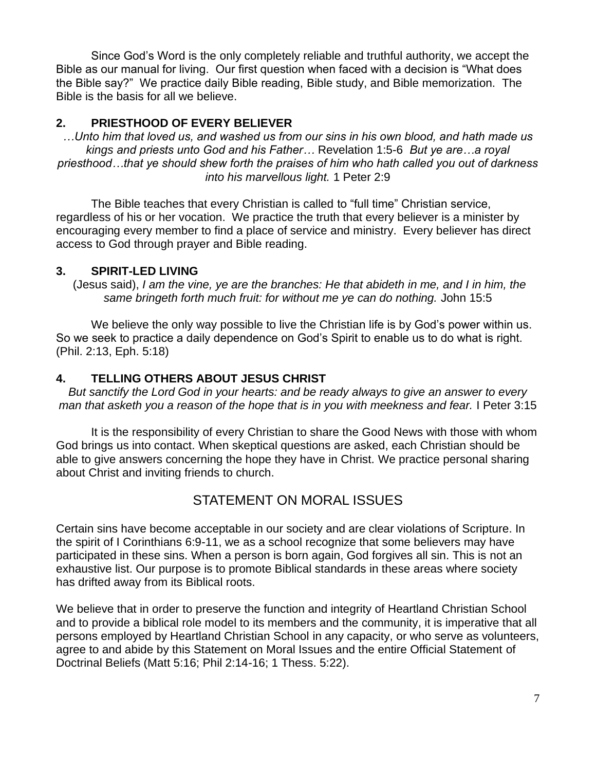Since God's Word is the only completely reliable and truthful authority, we accept the Bible as our manual for living. Our first question when faced with a decision is "What does the Bible say?" We practice daily Bible reading, Bible study, and Bible memorization. The Bible is the basis for all we believe.

#### **2. PRIESTHOOD OF EVERY BELIEVER**

*…Unto him that loved us, and washed us from our sins in his own blood, and hath made us kings and priests unto God and his Father…* Revelation 1:5-6 *But ye are…a royal priesthood…that ye should shew forth the praises of him who hath called you out of darkness into his marvellous light.* 1 Peter 2:9

The Bible teaches that every Christian is called to "full time" Christian service, regardless of his or her vocation. We practice the truth that every believer is a minister by encouraging every member to find a place of service and ministry. Every believer has direct access to God through prayer and Bible reading.

#### **3. SPIRIT-LED LIVING**

(Jesus said), *I am the vine, ye are the branches: He that abideth in me, and I in him, the same bringeth forth much fruit: for without me ye can do nothing.* John 15:5

We believe the only way possible to live the Christian life is by God's power within us. So we seek to practice a daily dependence on God's Spirit to enable us to do what is right. (Phil. 2:13, Eph. 5:18)

#### **4. TELLING OTHERS ABOUT JESUS CHRIST**

*But sanctify the Lord God in your hearts: and be ready always to give an answer to every man that asketh you a reason of the hope that is in you with meekness and fear.* I Peter 3:15

It is the responsibility of every Christian to share the Good News with those with whom God brings us into contact. When skeptical questions are asked, each Christian should be able to give answers concerning the hope they have in Christ. We practice personal sharing about Christ and inviting friends to church.

## STATEMENT ON MORAL ISSUES

Certain sins have become acceptable in our society and are clear violations of Scripture. In the spirit of I Corinthians 6:9-11, we as a school recognize that some believers may have participated in these sins. When a person is born again, God forgives all sin. This is not an exhaustive list. Our purpose is to promote Biblical standards in these areas where society has drifted away from its Biblical roots.

We believe that in order to preserve the function and integrity of Heartland Christian School and to provide a biblical role model to its members and the community, it is imperative that all persons employed by Heartland Christian School in any capacity, or who serve as volunteers, agree to and abide by this Statement on Moral Issues and the entire Official Statement of Doctrinal Beliefs (Matt 5:16; Phil 2:14-16; 1 Thess. 5:22).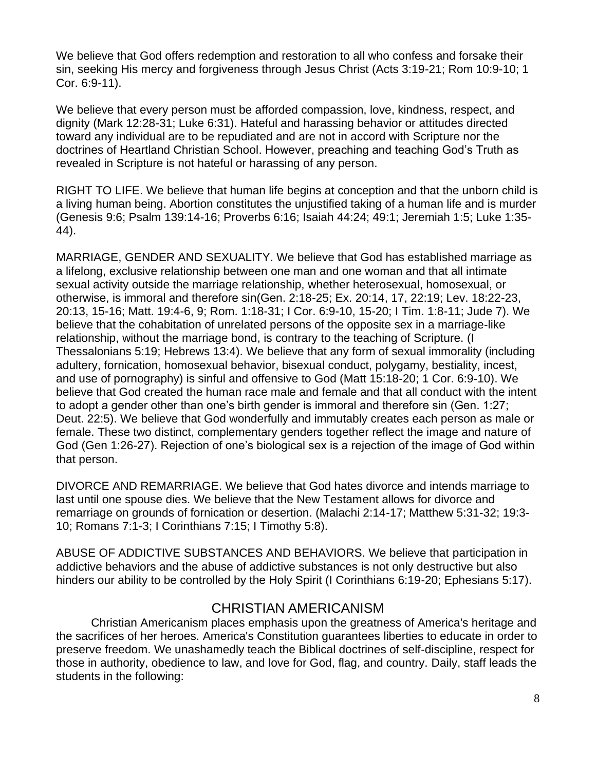We believe that God offers redemption and restoration to all who confess and forsake their sin, seeking His mercy and forgiveness through Jesus Christ (Acts 3:19-21; Rom 10:9-10; 1 Cor. 6:9-11).

We believe that every person must be afforded compassion, love, kindness, respect, and dignity (Mark 12:28-31; Luke 6:31). Hateful and harassing behavior or attitudes directed toward any individual are to be repudiated and are not in accord with Scripture nor the doctrines of Heartland Christian School. However, preaching and teaching God's Truth as revealed in Scripture is not hateful or harassing of any person.

RIGHT TO LIFE. We believe that human life begins at conception and that the unborn child is a living human being. Abortion constitutes the unjustified taking of a human life and is murder (Genesis 9:6; Psalm 139:14-16; Proverbs 6:16; Isaiah 44:24; 49:1; Jeremiah 1:5; Luke 1:35- 44).

MARRIAGE, GENDER AND SEXUALITY. We believe that God has established marriage as a lifelong, exclusive relationship between one man and one woman and that all intimate sexual activity outside the marriage relationship, whether heterosexual, homosexual, or otherwise, is immoral and therefore sin(Gen. 2:18-25; Ex. 20:14, 17, 22:19; Lev. 18:22-23, 20:13, 15-16; Matt. 19:4-6, 9; Rom. 1:18-31; I Cor. 6:9-10, 15-20; I Tim. 1:8-11; Jude 7). We believe that the cohabitation of unrelated persons of the opposite sex in a marriage-like relationship, without the marriage bond, is contrary to the teaching of Scripture. (I Thessalonians 5:19; Hebrews 13:4). We believe that any form of sexual immorality (including adultery, fornication, homosexual behavior, bisexual conduct, polygamy, bestiality, incest, and use of pornography) is sinful and offensive to God (Matt 15:18-20; 1 Cor. 6:9-10). We believe that God created the human race male and female and that all conduct with the intent to adopt a gender other than one's birth gender is immoral and therefore sin (Gen. 1:27; Deut. 22:5). We believe that God wonderfully and immutably creates each person as male or female. These two distinct, complementary genders together reflect the image and nature of God (Gen 1:26-27). Rejection of one's biological sex is a rejection of the image of God within that person.

DIVORCE AND REMARRIAGE. We believe that God hates divorce and intends marriage to last until one spouse dies. We believe that the New Testament allows for divorce and remarriage on grounds of fornication or desertion. (Malachi 2:14-17; Matthew 5:31-32; 19:3- 10; Romans 7:1-3; I Corinthians 7:15; I Timothy 5:8).

ABUSE OF ADDICTIVE SUBSTANCES AND BEHAVIORS. We believe that participation in addictive behaviors and the abuse of addictive substances is not only destructive but also hinders our ability to be controlled by the Holy Spirit (I Corinthians 6:19-20; Ephesians 5:17).

#### CHRISTIAN AMERICANISM

Christian Americanism places emphasis upon the greatness of America's heritage and the sacrifices of her heroes. America's Constitution guarantees liberties to educate in order to preserve freedom. We unashamedly teach the Biblical doctrines of self-discipline, respect for those in authority, obedience to law, and love for God, flag, and country. Daily, staff leads the students in the following: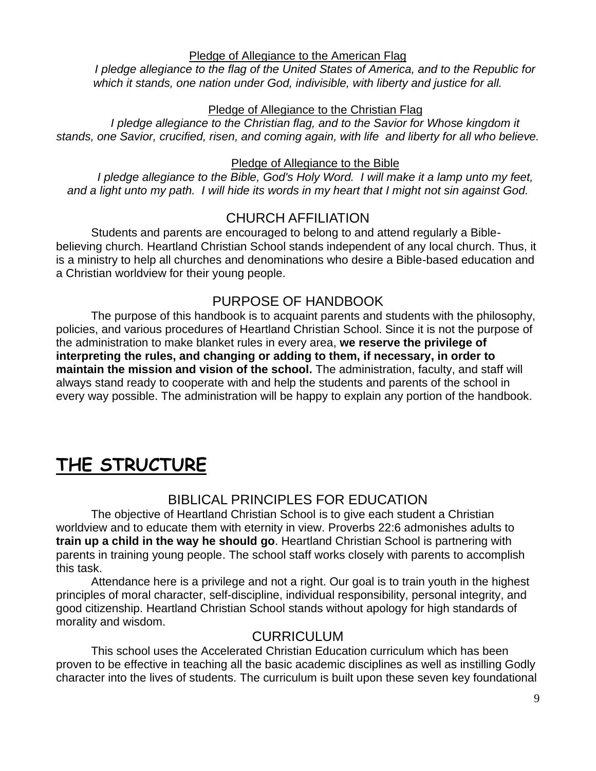Pledge of Allegiance to the American Flag

*I pledge allegiance to the flag of the United States of America, and to the Republic for which it stands, one nation under God, indivisible, with liberty and justice for all.*

#### Pledge of Allegiance to the Christian Flag

*I* pledge allegiance to the Christian flag, and to the Savior for Whose kingdom it *stands, one Savior, crucified, risen, and coming again, with life and liberty for all who believe.*

#### Pledge of Allegiance to the Bible

*I* pledge allegiance to the Bible, God's Holy Word. I will make it a lamp unto my feet, *and a light unto my path. I will hide its words in my heart that I might not sin against God.*

## CHURCH AFFILIATION

Students and parents are encouraged to belong to and attend regularly a Biblebelieving church. Heartland Christian School stands independent of any local church. Thus, it is a ministry to help all churches and denominations who desire a Bible-based education and a Christian worldview for their young people.

## PURPOSE OF HANDBOOK

The purpose of this handbook is to acquaint parents and students with the philosophy, policies, and various procedures of Heartland Christian School. Since it is not the purpose of the administration to make blanket rules in every area, **we reserve the privilege of interpreting the rules, and changing or adding to them, if necessary, in order to maintain the mission and vision of the school.** The administration, faculty, and staff will always stand ready to cooperate with and help the students and parents of the school in every way possible. The administration will be happy to explain any portion of the handbook.

# **THE STRUCTURE**

## BIBLICAL PRINCIPLES FOR EDUCATION

The objective of Heartland Christian School is to give each student a Christian worldview and to educate them with eternity in view. Proverbs 22:6 admonishes adults to **train up a child in the way he should go**. Heartland Christian School is partnering with parents in training young people. The school staff works closely with parents to accomplish this task.

Attendance here is a privilege and not a right. Our goal is to train youth in the highest principles of moral character, self-discipline, individual responsibility, personal integrity, and good citizenship. Heartland Christian School stands without apology for high standards of morality and wisdom.

## **CURRICULUM**

This school uses the Accelerated Christian Education curriculum which has been proven to be effective in teaching all the basic academic disciplines as well as instilling Godly character into the lives of students. The curriculum is built upon these seven key foundational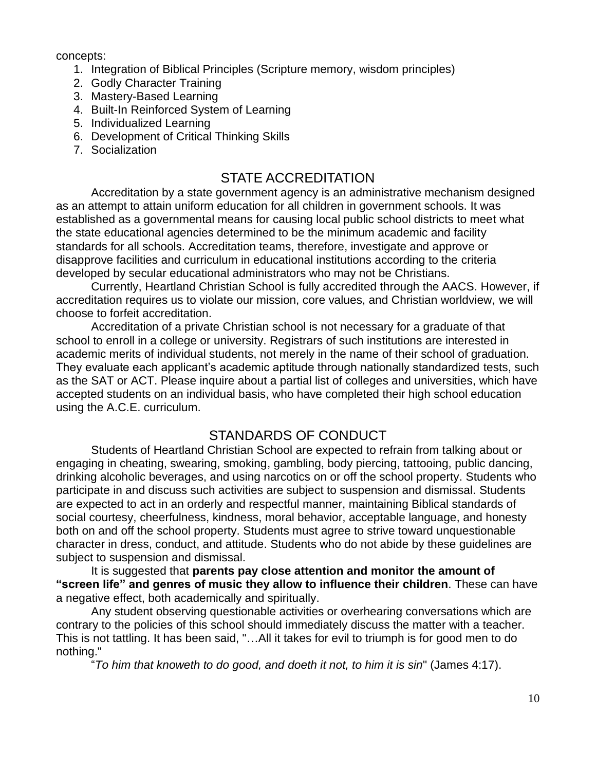concepts:

- 1. Integration of Biblical Principles (Scripture memory, wisdom principles)
- 2. Godly Character Training
- 3. Mastery-Based Learning
- 4. Built-In Reinforced System of Learning
- 5. Individualized Learning
- 6. Development of Critical Thinking Skills
- 7. Socialization

#### STATE ACCREDITATION

Accreditation by a state government agency is an administrative mechanism designed as an attempt to attain uniform education for all children in government schools. It was established as a governmental means for causing local public school districts to meet what the state educational agencies determined to be the minimum academic and facility standards for all schools. Accreditation teams, therefore, investigate and approve or disapprove facilities and curriculum in educational institutions according to the criteria developed by secular educational administrators who may not be Christians.

Currently, Heartland Christian School is fully accredited through the AACS. However, if accreditation requires us to violate our mission, core values, and Christian worldview, we will choose to forfeit accreditation.

Accreditation of a private Christian school is not necessary for a graduate of that school to enroll in a college or university. Registrars of such institutions are interested in academic merits of individual students, not merely in the name of their school of graduation. They evaluate each applicant's academic aptitude through nationally standardized tests, such as the SAT or ACT. Please inquire about a partial list of colleges and universities, which have accepted students on an individual basis, who have completed their high school education using the A.C.E. curriculum.

#### STANDARDS OF CONDUCT

Students of Heartland Christian School are expected to refrain from talking about or engaging in cheating, swearing, smoking, gambling, body piercing, tattooing, public dancing, drinking alcoholic beverages, and using narcotics on or off the school property. Students who participate in and discuss such activities are subject to suspension and dismissal. Students are expected to act in an orderly and respectful manner, maintaining Biblical standards of social courtesy, cheerfulness, kindness, moral behavior, acceptable language, and honesty both on and off the school property. Students must agree to strive toward unquestionable character in dress, conduct, and attitude. Students who do not abide by these guidelines are subject to suspension and dismissal.

It is suggested that **parents pay close attention and monitor the amount of "screen life" and genres of music they allow to influence their children**. These can have a negative effect, both academically and spiritually.

Any student observing questionable activities or overhearing conversations which are contrary to the policies of this school should immediately discuss the matter with a teacher. This is not tattling. It has been said, "…All it takes for evil to triumph is for good men to do nothing."

"*To him that knoweth to do good, and doeth it not, to him it is sin*" (James 4:17).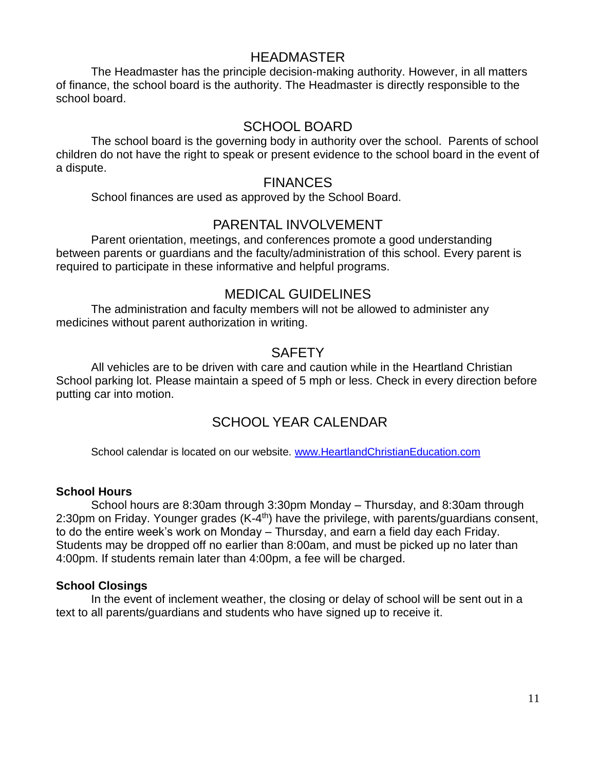#### HEADMASTER

The Headmaster has the principle decision-making authority. However, in all matters of finance, the school board is the authority. The Headmaster is directly responsible to the school board.

#### SCHOOL BOARD

The school board is the governing body in authority over the school. Parents of school children do not have the right to speak or present evidence to the school board in the event of a dispute.

#### **FINANCES**

School finances are used as approved by the School Board.

#### PARENTAL INVOLVEMENT

Parent orientation, meetings, and conferences promote a good understanding between parents or guardians and the faculty/administration of this school. Every parent is required to participate in these informative and helpful programs.

#### MEDICAL GUIDELINES

The administration and faculty members will not be allowed to administer any medicines without parent authorization in writing.

#### **SAFETY**

All vehicles are to be driven with care and caution while in the Heartland Christian School parking lot. Please maintain a speed of 5 mph or less. Check in every direction before putting car into motion.

## SCHOOL YEAR CALENDAR

School calendar is located on our website. [www.HeartlandChristianEducation.com](http://www.heartlandchristianeducation.com/)

#### **School Hours**

School hours are 8:30am through 3:30pm Monday – Thursday, and 8:30am through 2:30pm on Friday. Younger grades (K-4<sup>th</sup>) have the privilege, with parents/guardians consent, to do the entire week's work on Monday – Thursday, and earn a field day each Friday. Students may be dropped off no earlier than 8:00am, and must be picked up no later than 4:00pm. If students remain later than 4:00pm, a fee will be charged.

#### **School Closings**

In the event of inclement weather, the closing or delay of school will be sent out in a text to all parents/guardians and students who have signed up to receive it.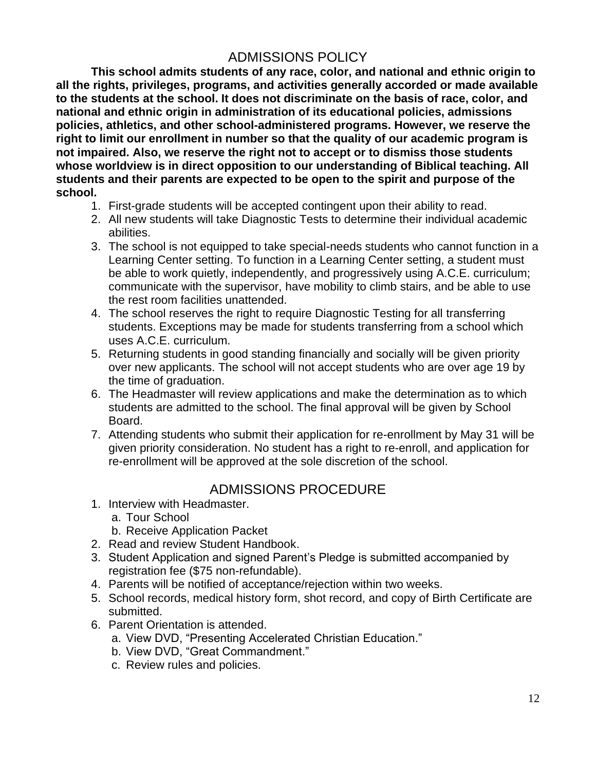# ADMISSIONS POLICY

**This school admits students of any race, color, and national and ethnic origin to all the rights, privileges, programs, and activities generally accorded or made available to the students at the school. It does not discriminate on the basis of race, color, and national and ethnic origin in administration of its educational policies, admissions policies, athletics, and other school-administered programs. However, we reserve the right to limit our enrollment in number so that the quality of our academic program is not impaired. Also, we reserve the right not to accept or to dismiss those students whose worldview is in direct opposition to our understanding of Biblical teaching. All students and their parents are expected to be open to the spirit and purpose of the school.**

- 1. First-grade students will be accepted contingent upon their ability to read.
- 2. All new students will take Diagnostic Tests to determine their individual academic abilities.
- 3. The school is not equipped to take special-needs students who cannot function in a Learning Center setting. To function in a Learning Center setting, a student must be able to work quietly, independently, and progressively using A.C.E. curriculum; communicate with the supervisor, have mobility to climb stairs, and be able to use the rest room facilities unattended.
- 4. The school reserves the right to require Diagnostic Testing for all transferring students. Exceptions may be made for students transferring from a school which uses A.C.E. curriculum.
- 5. Returning students in good standing financially and socially will be given priority over new applicants. The school will not accept students who are over age 19 by the time of graduation.
- 6. The Headmaster will review applications and make the determination as to which students are admitted to the school. The final approval will be given by School Board.
- 7. Attending students who submit their application for re-enrollment by May 31 will be given priority consideration. No student has a right to re-enroll, and application for re-enrollment will be approved at the sole discretion of the school.

## ADMISSIONS PROCEDURE

- 1. Interview with Headmaster.
	- a. Tour School
	- b. Receive Application Packet
- 2. Read and review Student Handbook.
- 3. Student Application and signed Parent's Pledge is submitted accompanied by registration fee (\$75 non-refundable).
- 4. Parents will be notified of acceptance/rejection within two weeks.
- 5. School records, medical history form, shot record, and copy of Birth Certificate are submitted.
- 6. Parent Orientation is attended.
	- a. View DVD, "Presenting Accelerated Christian Education."
	- b. View DVD, "Great Commandment."
	- c. Review rules and policies.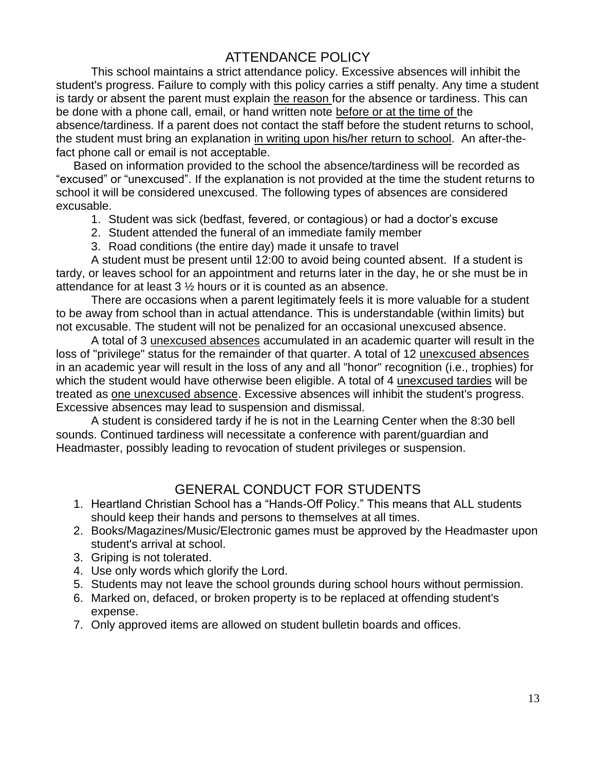# ATTENDANCE POLICY

This school maintains a strict attendance policy. Excessive absences will inhibit the student's progress. Failure to comply with this policy carries a stiff penalty. Any time a student is tardy or absent the parent must explain the reason for the absence or tardiness. This can be done with a phone call, email, or hand written note before or at the time of the absence/tardiness. If a parent does not contact the staff before the student returns to school, the student must bring an explanation in writing upon his/her return to school. An after-thefact phone call or email is not acceptable.

Based on information provided to the school the absence/tardiness will be recorded as "excused" or "unexcused". If the explanation is not provided at the time the student returns to school it will be considered unexcused. The following types of absences are considered excusable.

- 1. Student was sick (bedfast, fevered, or contagious) or had a doctor's excuse
- 2. Student attended the funeral of an immediate family member
- 3. Road conditions (the entire day) made it unsafe to travel

A student must be present until 12:00 to avoid being counted absent. If a student is tardy, or leaves school for an appointment and returns later in the day, he or she must be in attendance for at least 3 ½ hours or it is counted as an absence.

There are occasions when a parent legitimately feels it is more valuable for a student to be away from school than in actual attendance. This is understandable (within limits) but not excusable. The student will not be penalized for an occasional unexcused absence.

A total of 3 unexcused absences accumulated in an academic quarter will result in the loss of "privilege" status for the remainder of that quarter. A total of 12 unexcused absences in an academic year will result in the loss of any and all "honor" recognition (i.e., trophies) for which the student would have otherwise been eligible. A total of 4 unexcused tardies will be treated as one unexcused absence. Excessive absences will inhibit the student's progress. Excessive absences may lead to suspension and dismissal.

A student is considered tardy if he is not in the Learning Center when the 8:30 bell sounds. Continued tardiness will necessitate a conference with parent/guardian and Headmaster, possibly leading to revocation of student privileges or suspension.

## GENERAL CONDUCT FOR STUDENTS

- 1. Heartland Christian School has a "Hands-Off Policy." This means that ALL students should keep their hands and persons to themselves at all times.
- 2. Books/Magazines/Music/Electronic games must be approved by the Headmaster upon student's arrival at school.
- 3. Griping is not tolerated.
- 4. Use only words which glorify the Lord.
- 5. Students may not leave the school grounds during school hours without permission.
- 6. Marked on, defaced, or broken property is to be replaced at offending student's expense.
- 7. Only approved items are allowed on student bulletin boards and offices.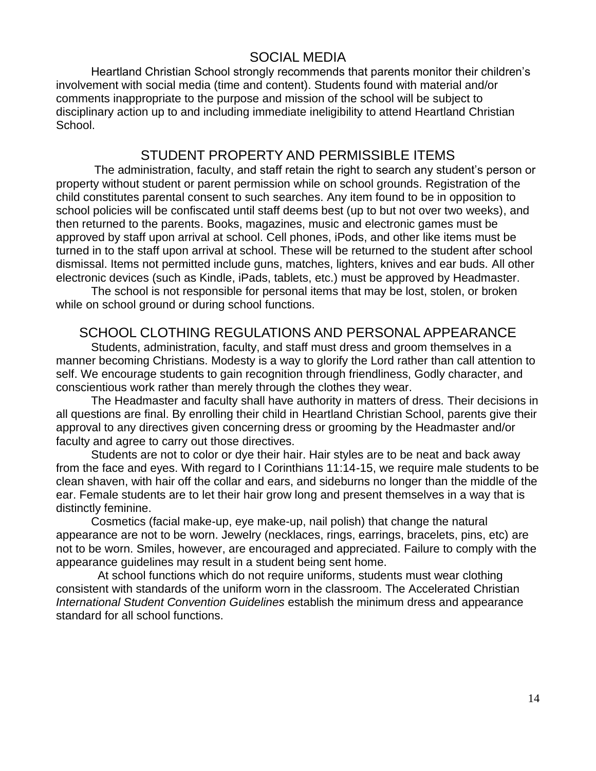#### SOCIAL MEDIA

Heartland Christian School strongly recommends that parents monitor their children's involvement with social media (time and content). Students found with material and/or comments inappropriate to the purpose and mission of the school will be subject to disciplinary action up to and including immediate ineligibility to attend Heartland Christian School.

#### STUDENT PROPERTY AND PERMISSIBLE ITEMS

The administration, faculty, and staff retain the right to search any student's person or property without student or parent permission while on school grounds. Registration of the child constitutes parental consent to such searches. Any item found to be in opposition to school policies will be confiscated until staff deems best (up to but not over two weeks), and then returned to the parents. Books, magazines, music and electronic games must be approved by staff upon arrival at school. Cell phones, iPods, and other like items must be turned in to the staff upon arrival at school. These will be returned to the student after school dismissal. Items not permitted include guns, matches, lighters, knives and ear buds. All other electronic devices (such as Kindle, iPads, tablets, etc.) must be approved by Headmaster.

The school is not responsible for personal items that may be lost, stolen, or broken while on school ground or during school functions.

#### SCHOOL CLOTHING REGULATIONS AND PERSONAL APPEARANCE

Students, administration, faculty, and staff must dress and groom themselves in a manner becoming Christians. Modesty is a way to glorify the Lord rather than call attention to self. We encourage students to gain recognition through friendliness, Godly character, and conscientious work rather than merely through the clothes they wear.

The Headmaster and faculty shall have authority in matters of dress. Their decisions in all questions are final. By enrolling their child in Heartland Christian School, parents give their approval to any directives given concerning dress or grooming by the Headmaster and/or faculty and agree to carry out those directives.

Students are not to color or dye their hair. Hair styles are to be neat and back away from the face and eyes. With regard to I Corinthians 11:14-15, we require male students to be clean shaven, with hair off the collar and ears, and sideburns no longer than the middle of the ear. Female students are to let their hair grow long and present themselves in a way that is distinctly feminine.

Cosmetics (facial make-up, eye make-up, nail polish) that change the natural appearance are not to be worn. Jewelry (necklaces, rings, earrings, bracelets, pins, etc) are not to be worn. Smiles, however, are encouraged and appreciated. Failure to comply with the appearance guidelines may result in a student being sent home.

 At school functions which do not require uniforms, students must wear clothing consistent with standards of the uniform worn in the classroom. The Accelerated Christian *International Student Convention Guidelines* establish the minimum dress and appearance standard for all school functions.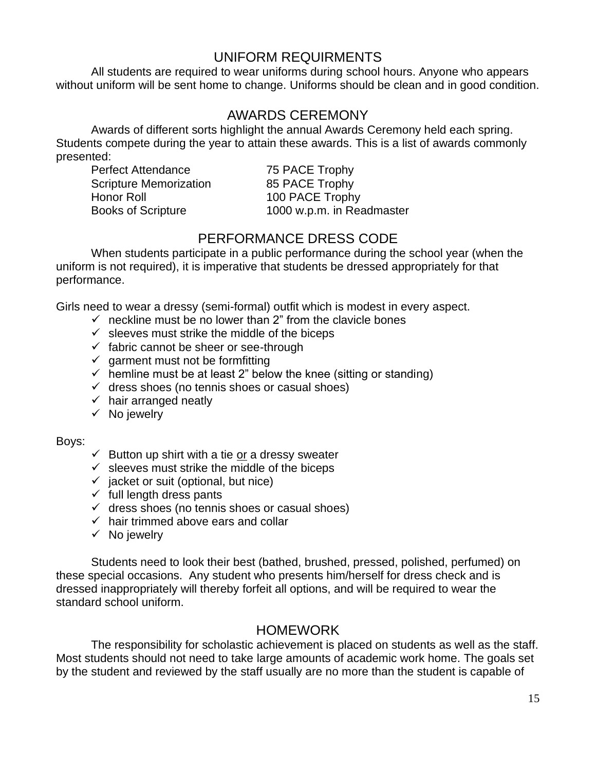## UNIFORM REQUIRMENTS

All students are required to wear uniforms during school hours. Anyone who appears without uniform will be sent home to change. Uniforms should be clean and in good condition.

#### AWARDS CEREMONY

Awards of different sorts highlight the annual Awards Ceremony held each spring. Students compete during the year to attain these awards. This is a list of awards commonly presented:

Perfect Attendance 75 PACE Trophy Scripture Memorization 85 PACE Trophy Honor Roll 100 PACE Trophy

Books of Scripture 1000 w.p.m. in Readmaster

## PERFORMANCE DRESS CODE

When students participate in a public performance during the school year (when the uniform is not required), it is imperative that students be dressed appropriately for that performance.

Girls need to wear a dressy (semi-formal) outfit which is modest in every aspect.

- $\checkmark$  neckline must be no lower than 2" from the clavicle bones
- $\checkmark$  sleeves must strike the middle of the biceps
- $\checkmark$  fabric cannot be sheer or see-through
- $\checkmark$  garment must not be formfitting
- $\checkmark$  hemline must be at least 2" below the knee (sitting or standing)
- $\checkmark$  dress shoes (no tennis shoes or casual shoes)
- $\checkmark$  hair arranged neatly
- $\checkmark$  No jewelry

Boys:

- $\checkmark$  Button up shirt with a tie or a dressy sweater
- $\checkmark$  sleeves must strike the middle of the biceps
- $\checkmark$  jacket or suit (optional, but nice)
- $\checkmark$  full length dress pants
- $\checkmark$  dress shoes (no tennis shoes or casual shoes)
- $\checkmark$  hair trimmed above ears and collar
- $\checkmark$  No jewelry

Students need to look their best (bathed, brushed, pressed, polished, perfumed) on these special occasions. Any student who presents him/herself for dress check and is dressed inappropriately will thereby forfeit all options, and will be required to wear the standard school uniform.

#### HOMEWORK

The responsibility for scholastic achievement is placed on students as well as the staff. Most students should not need to take large amounts of academic work home. The goals set by the student and reviewed by the staff usually are no more than the student is capable of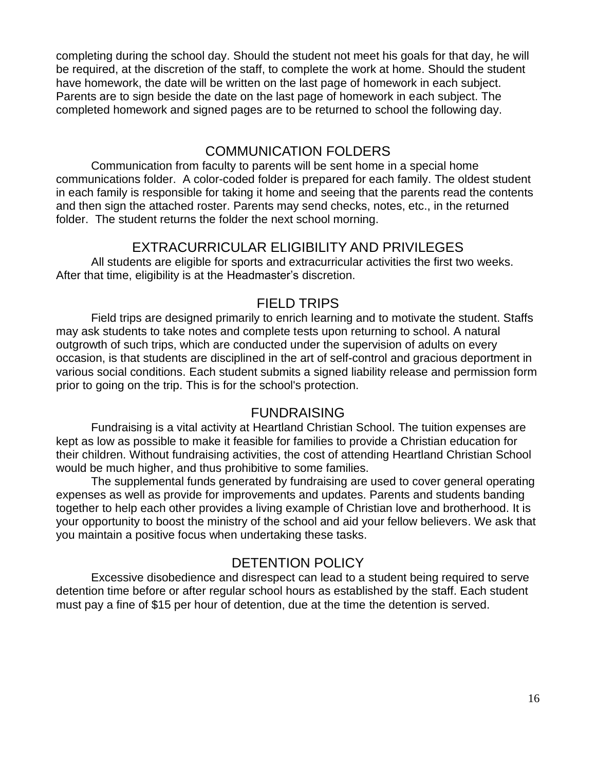completing during the school day. Should the student not meet his goals for that day, he will be required, at the discretion of the staff, to complete the work at home. Should the student have homework, the date will be written on the last page of homework in each subject. Parents are to sign beside the date on the last page of homework in each subject. The completed homework and signed pages are to be returned to school the following day.

## COMMUNICATION FOLDERS

Communication from faculty to parents will be sent home in a special home communications folder. A color-coded folder is prepared for each family. The oldest student in each family is responsible for taking it home and seeing that the parents read the contents and then sign the attached roster. Parents may send checks, notes, etc., in the returned folder. The student returns the folder the next school morning.

#### EXTRACURRICULAR ELIGIBILITY AND PRIVILEGES

All students are eligible for sports and extracurricular activities the first two weeks. After that time, eligibility is at the Headmaster's discretion.

#### FIELD TRIPS

Field trips are designed primarily to enrich learning and to motivate the student. Staffs may ask students to take notes and complete tests upon returning to school. A natural outgrowth of such trips, which are conducted under the supervision of adults on every occasion, is that students are disciplined in the art of self-control and gracious deportment in various social conditions. Each student submits a signed liability release and permission form prior to going on the trip. This is for the school's protection.

#### FUNDRAISING

Fundraising is a vital activity at Heartland Christian School. The tuition expenses are kept as low as possible to make it feasible for families to provide a Christian education for their children. Without fundraising activities, the cost of attending Heartland Christian School would be much higher, and thus prohibitive to some families.

The supplemental funds generated by fundraising are used to cover general operating expenses as well as provide for improvements and updates. Parents and students banding together to help each other provides a living example of Christian love and brotherhood. It is your opportunity to boost the ministry of the school and aid your fellow believers. We ask that you maintain a positive focus when undertaking these tasks.

## DETENTION POLICY

Excessive disobedience and disrespect can lead to a student being required to serve detention time before or after regular school hours as established by the staff. Each student must pay a fine of \$15 per hour of detention, due at the time the detention is served.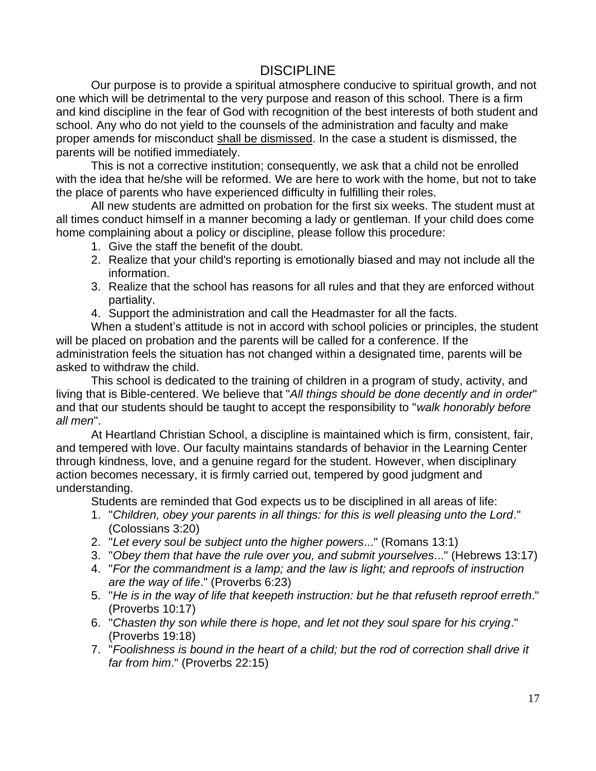## **DISCIPLINE**

Our purpose is to provide a spiritual atmosphere conducive to spiritual growth, and not one which will be detrimental to the very purpose and reason of this school. There is a firm and kind discipline in the fear of God with recognition of the best interests of both student and school. Any who do not yield to the counsels of the administration and faculty and make proper amends for misconduct shall be dismissed. In the case a student is dismissed, the parents will be notified immediately.

This is not a corrective institution; consequently, we ask that a child not be enrolled with the idea that he/she will be reformed. We are here to work with the home, but not to take the place of parents who have experienced difficulty in fulfilling their roles.

All new students are admitted on probation for the first six weeks. The student must at all times conduct himself in a manner becoming a lady or gentleman. If your child does come home complaining about a policy or discipline, please follow this procedure:

- 1. Give the staff the benefit of the doubt.
- 2. Realize that your child's reporting is emotionally biased and may not include all the information.
- 3. Realize that the school has reasons for all rules and that they are enforced without partiality.
- 4. Support the administration and call the Headmaster for all the facts.

When a student's attitude is not in accord with school policies or principles, the student will be placed on probation and the parents will be called for a conference. If the administration feels the situation has not changed within a designated time, parents will be asked to withdraw the child.

This school is dedicated to the training of children in a program of study, activity, and living that is Bible-centered. We believe that "*All things should be done decently and in order*" and that our students should be taught to accept the responsibility to "*walk honorably before all men*".

At Heartland Christian School, a discipline is maintained which is firm, consistent, fair, and tempered with love. Our faculty maintains standards of behavior in the Learning Center through kindness, love, and a genuine regard for the student. However, when disciplinary action becomes necessary, it is firmly carried out, tempered by good judgment and understanding.

Students are reminded that God expects us to be disciplined in all areas of life:

- 1. "*Children, obey your parents in all things: for this is well pleasing unto the Lord*." (Colossians 3:20)
- 2. "*Let every soul be subject unto the higher powers*..." (Romans 13:1)
- 3. "*Obey them that have the rule over you, and submit yourselves*..." (Hebrews 13:17)
- 4. "*For the commandment is a lamp; and the law is light; and reproofs of instruction are the way of life*." (Proverbs 6:23)
- 5. "*He is in the way of life that keepeth instruction: but he that refuseth reproof erreth*." (Proverbs 10:17)
- 6. "*Chasten thy son while there is hope, and let not they soul spare for his crying*." (Proverbs 19:18)
- 7. "*Foolishness is bound in the heart of a child; but the rod of correction shall drive it far from him*." (Proverbs 22:15)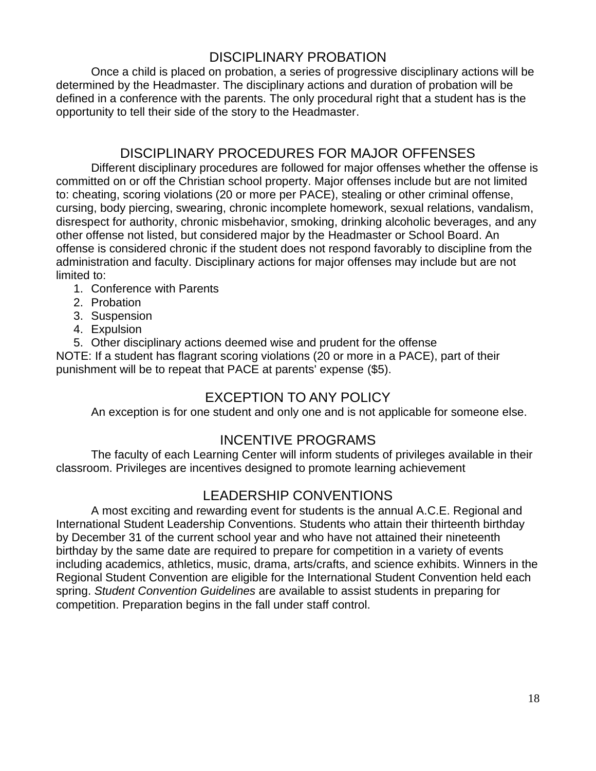## DISCIPLINARY PROBATION

Once a child is placed on probation, a series of progressive disciplinary actions will be determined by the Headmaster. The disciplinary actions and duration of probation will be defined in a conference with the parents. The only procedural right that a student has is the opportunity to tell their side of the story to the Headmaster.

#### DISCIPLINARY PROCEDURES FOR MAJOR OFFENSES

Different disciplinary procedures are followed for major offenses whether the offense is committed on or off the Christian school property. Major offenses include but are not limited to: cheating, scoring violations (20 or more per PACE), stealing or other criminal offense, cursing, body piercing, swearing, chronic incomplete homework, sexual relations, vandalism, disrespect for authority, chronic misbehavior, smoking, drinking alcoholic beverages, and any other offense not listed, but considered major by the Headmaster or School Board. An offense is considered chronic if the student does not respond favorably to discipline from the administration and faculty. Disciplinary actions for major offenses may include but are not limited to:

- 1. Conference with Parents
- 2. Probation
- 3. Suspension
- 4. Expulsion
- 5. Other disciplinary actions deemed wise and prudent for the offense

NOTE: If a student has flagrant scoring violations (20 or more in a PACE), part of their punishment will be to repeat that PACE at parents' expense (\$5).

## EXCEPTION TO ANY POLICY

An exception is for one student and only one and is not applicable for someone else.

## INCENTIVE PROGRAMS

The faculty of each Learning Center will inform students of privileges available in their classroom. Privileges are incentives designed to promote learning achievement

## LEADERSHIP CONVENTIONS

A most exciting and rewarding event for students is the annual A.C.E. Regional and International Student Leadership Conventions. Students who attain their thirteenth birthday by December 31 of the current school year and who have not attained their nineteenth birthday by the same date are required to prepare for competition in a variety of events including academics, athletics, music, drama, arts/crafts, and science exhibits. Winners in the Regional Student Convention are eligible for the International Student Convention held each spring. *Student Convention Guidelines* are available to assist students in preparing for competition. Preparation begins in the fall under staff control.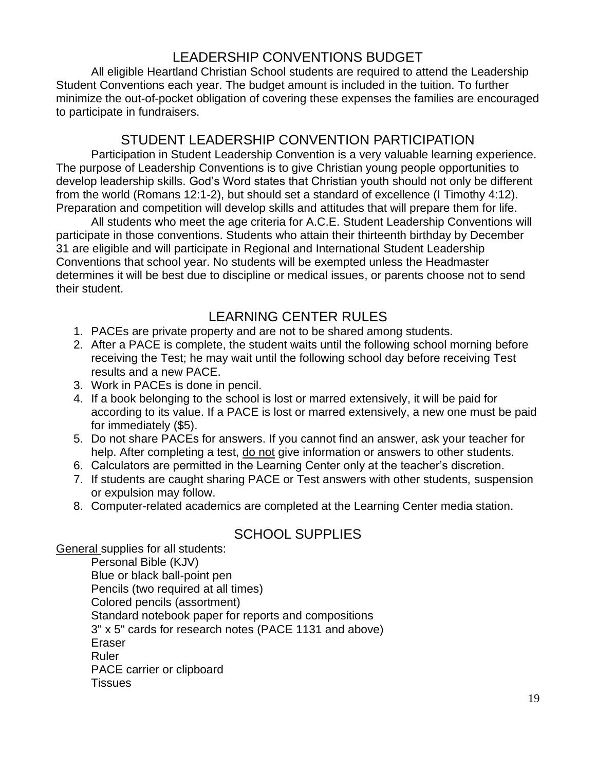# LEADERSHIP CONVENTIONS BUDGET

All eligible Heartland Christian School students are required to attend the Leadership Student Conventions each year. The budget amount is included in the tuition. To further minimize the out-of-pocket obligation of covering these expenses the families are encouraged to participate in fundraisers.

## STUDENT LEADERSHIP CONVENTION PARTICIPATION

Participation in Student Leadership Convention is a very valuable learning experience. The purpose of Leadership Conventions is to give Christian young people opportunities to develop leadership skills. God's Word states that Christian youth should not only be different from the world (Romans 12:1-2), but should set a standard of excellence (I Timothy 4:12). Preparation and competition will develop skills and attitudes that will prepare them for life.

All students who meet the age criteria for A.C.E. Student Leadership Conventions will participate in those conventions. Students who attain their thirteenth birthday by December 31 are eligible and will participate in Regional and International Student Leadership Conventions that school year. No students will be exempted unless the Headmaster determines it will be best due to discipline or medical issues, or parents choose not to send their student.

# LEARNING CENTER RULES

- 1. PACEs are private property and are not to be shared among students.
- 2. After a PACE is complete, the student waits until the following school morning before receiving the Test; he may wait until the following school day before receiving Test results and a new PACE.
- 3. Work in PACEs is done in pencil.
- 4. If a book belonging to the school is lost or marred extensively, it will be paid for according to its value. If a PACE is lost or marred extensively, a new one must be paid for immediately (\$5).
- 5. Do not share PACEs for answers. If you cannot find an answer, ask your teacher for help. After completing a test, do not give information or answers to other students.
- 6. Calculators are permitted in the Learning Center only at the teacher's discretion.
- 7. If students are caught sharing PACE or Test answers with other students, suspension or expulsion may follow.
- 8. Computer-related academics are completed at the Learning Center media station.

## SCHOOL SUPPLIES

General supplies for all students:

Personal Bible (KJV) Blue or black ball-point pen Pencils (two required at all times) Colored pencils (assortment) Standard notebook paper for reports and compositions 3" x 5" cards for research notes (PACE 1131 and above) Eraser Ruler PACE carrier or clipboard **Tissues**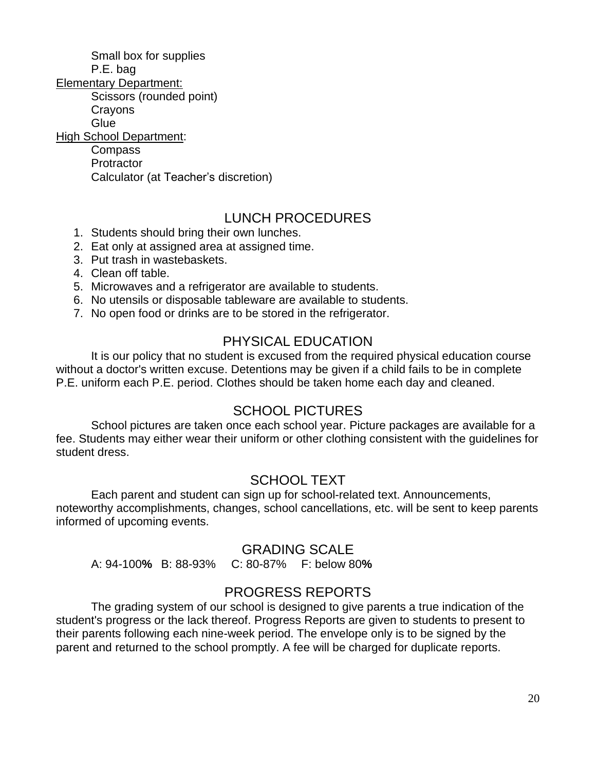Small box for supplies P.E. bag

Elementary Department:

Scissors (rounded point)

**Crayons** 

**Glue** 

High School Department:

Compass **Protractor** Calculator (at Teacher's discretion)

## LUNCH PROCEDURES

- 1. Students should bring their own lunches.
- 2. Eat only at assigned area at assigned time.
- 3. Put trash in wastebaskets.
- 4. Clean off table.
- 5. Microwaves and a refrigerator are available to students.
- 6. No utensils or disposable tableware are available to students.
- 7. No open food or drinks are to be stored in the refrigerator.

# PHYSICAL EDUCATION

It is our policy that no student is excused from the required physical education course without a doctor's written excuse. Detentions may be given if a child fails to be in complete P.E. uniform each P.E. period. Clothes should be taken home each day and cleaned.

## SCHOOL PICTURES

School pictures are taken once each school year. Picture packages are available for a fee. Students may either wear their uniform or other clothing consistent with the guidelines for student dress.

## SCHOOL TEXT

Each parent and student can sign up for school-related text. Announcements, noteworthy accomplishments, changes, school cancellations, etc. will be sent to keep parents informed of upcoming events.

## GRADING SCALE

A: 94-100**%** B: 88-93% C: 80-87% F: below 80**%**

## PROGRESS REPORTS

The grading system of our school is designed to give parents a true indication of the student's progress or the lack thereof. Progress Reports are given to students to present to their parents following each nine-week period. The envelope only is to be signed by the parent and returned to the school promptly. A fee will be charged for duplicate reports.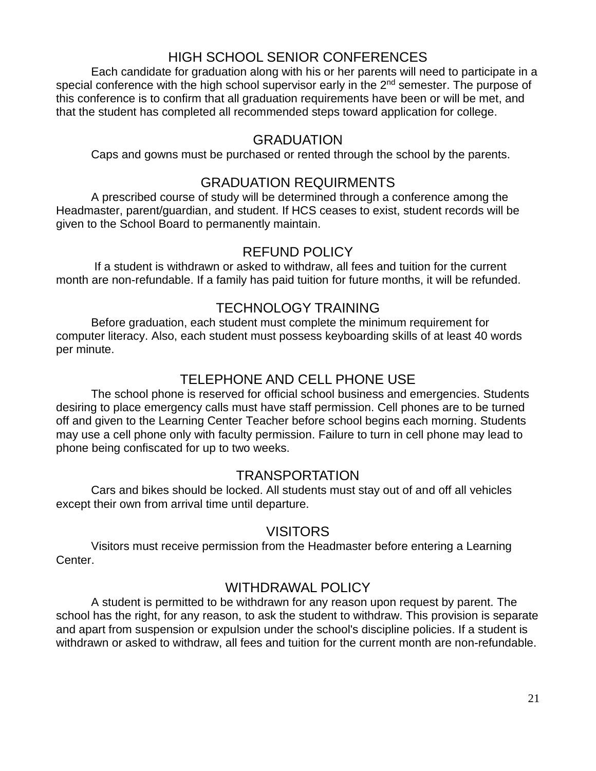# HIGH SCHOOL SENIOR CONFERENCES

Each candidate for graduation along with his or her parents will need to participate in a special conference with the high school supervisor early in the 2<sup>nd</sup> semester. The purpose of this conference is to confirm that all graduation requirements have been or will be met, and that the student has completed all recommended steps toward application for college.

## **GRADUATION**

Caps and gowns must be purchased or rented through the school by the parents.

## GRADUATION REQUIRMENTS

A prescribed course of study will be determined through a conference among the Headmaster, parent/guardian, and student. If HCS ceases to exist, student records will be given to the School Board to permanently maintain.

## REFUND POLICY

If a student is withdrawn or asked to withdraw, all fees and tuition for the current month are non-refundable. If a family has paid tuition for future months, it will be refunded.

## TECHNOLOGY TRAINING

Before graduation, each student must complete the minimum requirement for computer literacy. Also, each student must possess keyboarding skills of at least 40 words per minute.

## TELEPHONE AND CELL PHONE USE

The school phone is reserved for official school business and emergencies. Students desiring to place emergency calls must have staff permission. Cell phones are to be turned off and given to the Learning Center Teacher before school begins each morning. Students may use a cell phone only with faculty permission. Failure to turn in cell phone may lead to phone being confiscated for up to two weeks.

## TRANSPORTATION

Cars and bikes should be locked. All students must stay out of and off all vehicles except their own from arrival time until departure.

## VISITORS

Visitors must receive permission from the Headmaster before entering a Learning Center.

## WITHDRAWAL POLICY

A student is permitted to be withdrawn for any reason upon request by parent. The school has the right, for any reason, to ask the student to withdraw. This provision is separate and apart from suspension or expulsion under the school's discipline policies. If a student is withdrawn or asked to withdraw, all fees and tuition for the current month are non-refundable.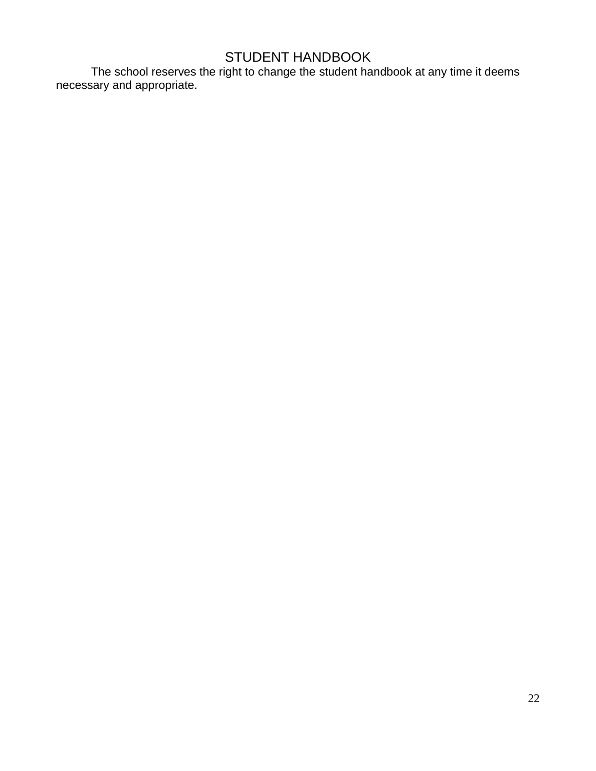# STUDENT HANDBOOK

The school reserves the right to change the student handbook at any time it deems necessary and appropriate.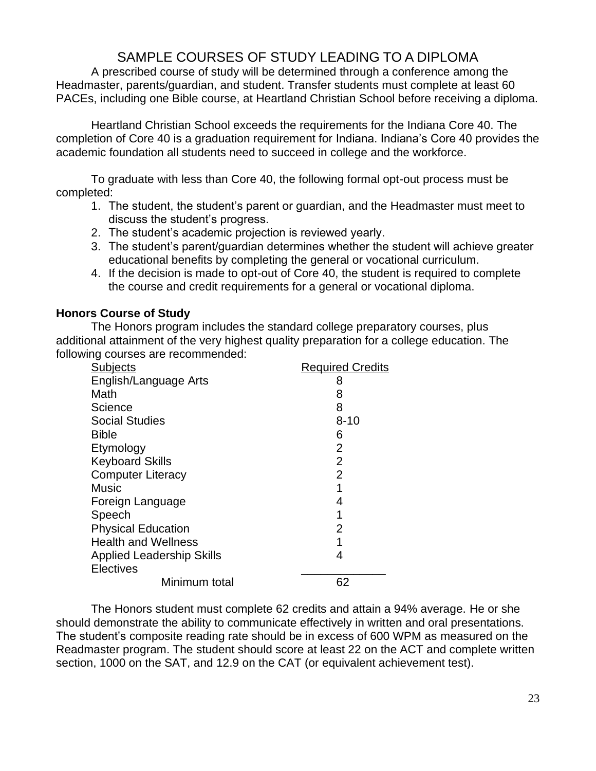## SAMPLE COURSES OF STUDY LEADING TO A DIPLOMA

A prescribed course of study will be determined through a conference among the Headmaster, parents/guardian, and student. Transfer students must complete at least 60 PACEs, including one Bible course, at Heartland Christian School before receiving a diploma.

Heartland Christian School exceeds the requirements for the Indiana Core 40. The completion of Core 40 is a graduation requirement for Indiana. Indiana's Core 40 provides the academic foundation all students need to succeed in college and the workforce.

To graduate with less than Core 40, the following formal opt-out process must be completed:

- 1. The student, the student's parent or guardian, and the Headmaster must meet to discuss the student's progress.
- 2. The student's academic projection is reviewed yearly.
- 3. The student's parent/guardian determines whether the student will achieve greater educational benefits by completing the general or vocational curriculum.
- 4. If the decision is made to opt-out of Core 40, the student is required to complete the course and credit requirements for a general or vocational diploma.

#### **Honors Course of Study**

The Honors program includes the standard college preparatory courses, plus additional attainment of the very highest quality preparation for a college education. The following courses are recommended:

| <b>Subjects</b>                  | <b>Required Credits</b> |
|----------------------------------|-------------------------|
| English/Language Arts            | 8                       |
| Math                             | 8                       |
| Science                          | 8                       |
| <b>Social Studies</b>            | $8 - 10$                |
| <b>Bible</b>                     | 6                       |
| Etymology                        | $\overline{2}$          |
| <b>Keyboard Skills</b>           | $\overline{2}$          |
| <b>Computer Literacy</b>         | $\overline{2}$          |
| <b>Music</b>                     | 1                       |
| Foreign Language                 | 4                       |
| Speech                           | 1                       |
| <b>Physical Education</b>        | 2                       |
| <b>Health and Wellness</b>       | 1                       |
| <b>Applied Leadership Skills</b> | 4                       |
| <b>Electives</b>                 |                         |
| Minimum total                    | 62                      |

The Honors student must complete 62 credits and attain a 94% average. He or she should demonstrate the ability to communicate effectively in written and oral presentations. The student's composite reading rate should be in excess of 600 WPM as measured on the Readmaster program. The student should score at least 22 on the ACT and complete written section, 1000 on the SAT, and 12.9 on the CAT (or equivalent achievement test).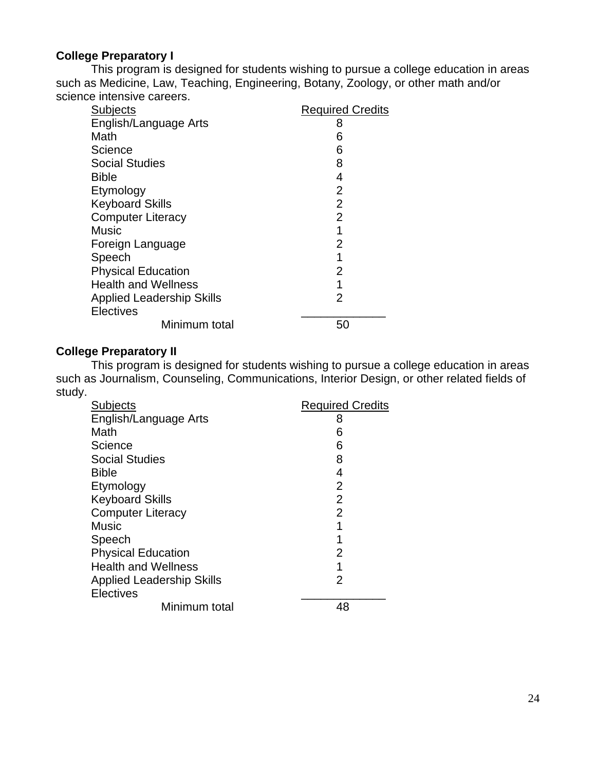#### **College Preparatory I**

This program is designed for students wishing to pursue a college education in areas such as Medicine, Law, Teaching, Engineering, Botany, Zoology, or other math and/or science intensive careers.

| <b>Subjects</b>                  | <b>Required Credits</b> |
|----------------------------------|-------------------------|
| English/Language Arts            | 8                       |
| Math                             | 6                       |
| Science                          | 6                       |
| <b>Social Studies</b>            | 8                       |
| <b>Bible</b>                     | 4                       |
| Etymology                        | 2                       |
| <b>Keyboard Skills</b>           | $\overline{2}$          |
| <b>Computer Literacy</b>         | $\overline{2}$          |
| Music                            | 1                       |
| Foreign Language                 | 2                       |
| Speech                           | 1                       |
| <b>Physical Education</b>        | 2                       |
| <b>Health and Wellness</b>       | 1                       |
| <b>Applied Leadership Skills</b> | 2                       |
| <b>Electives</b>                 |                         |
| Minimum total                    | 50                      |

#### **College Preparatory II**

This program is designed for students wishing to pursue a college education in areas such as Journalism, Counseling, Communications, Interior Design, or other related fields of study.

| <b>Subjects</b>                  | <b>Required Credits</b> |
|----------------------------------|-------------------------|
| English/Language Arts            | 8                       |
| Math                             | 6                       |
| Science                          | 6                       |
| <b>Social Studies</b>            | 8                       |
| <b>Bible</b>                     | 4                       |
| Etymology                        | $\overline{2}$          |
| <b>Keyboard Skills</b>           | 2                       |
| <b>Computer Literacy</b>         | $\overline{2}$          |
| <b>Music</b>                     | 1                       |
| Speech                           |                         |
| <b>Physical Education</b>        | 2                       |
| <b>Health and Wellness</b>       | 1                       |
| <b>Applied Leadership Skills</b> | 2                       |
| <b>Electives</b>                 |                         |
| Minimum total                    | 48                      |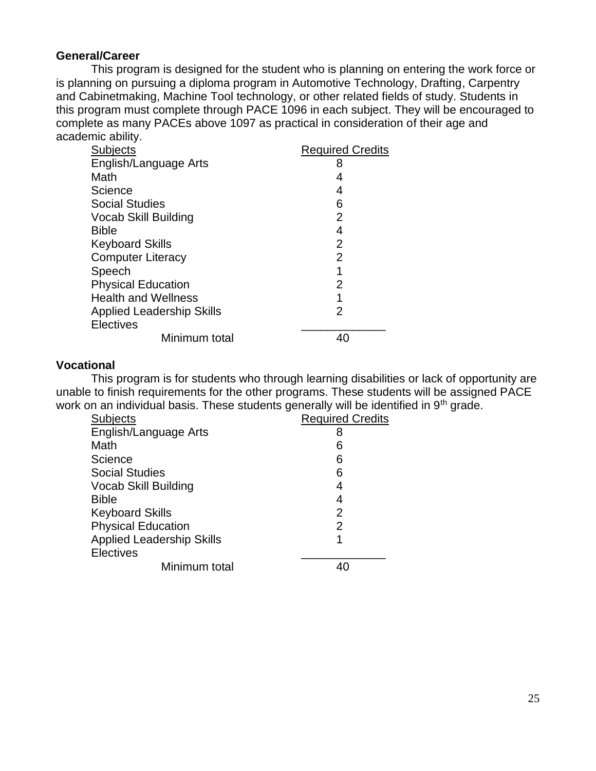#### **General/Career**

This program is designed for the student who is planning on entering the work force or is planning on pursuing a diploma program in Automotive Technology, Drafting, Carpentry and Cabinetmaking, Machine Tool technology, or other related fields of study. Students in this program must complete through PACE 1096 in each subject. They will be encouraged to complete as many PACEs above 1097 as practical in consideration of their age and academic ability.

| <b>Subjects</b>                  | <b>Required Credits</b> |
|----------------------------------|-------------------------|
| English/Language Arts            | 8                       |
| Math                             | 4                       |
| Science                          | 4                       |
| <b>Social Studies</b>            | 6                       |
| <b>Vocab Skill Building</b>      | $\overline{2}$          |
| <b>Bible</b>                     | 4                       |
| <b>Keyboard Skills</b>           | 2                       |
| <b>Computer Literacy</b>         | $\overline{2}$          |
| Speech                           | 1                       |
| <b>Physical Education</b>        | $\overline{2}$          |
| <b>Health and Wellness</b>       | 1                       |
| <b>Applied Leadership Skills</b> | 2                       |
| <b>Electives</b>                 |                         |
| Minimum total                    | 40                      |

#### **Vocational**

This program is for students who through learning disabilities or lack of opportunity are unable to finish requirements for the other programs. These students will be assigned PACE work on an individual basis. These students generally will be identified in 9<sup>th</sup> grade.

| <b>Required Credits</b> |
|-------------------------|
| 8                       |
| 6                       |
| 6                       |
| 6                       |
| 4                       |
| 4                       |
| 2                       |
| $\overline{2}$          |
| 1                       |
|                         |
|                         |
|                         |